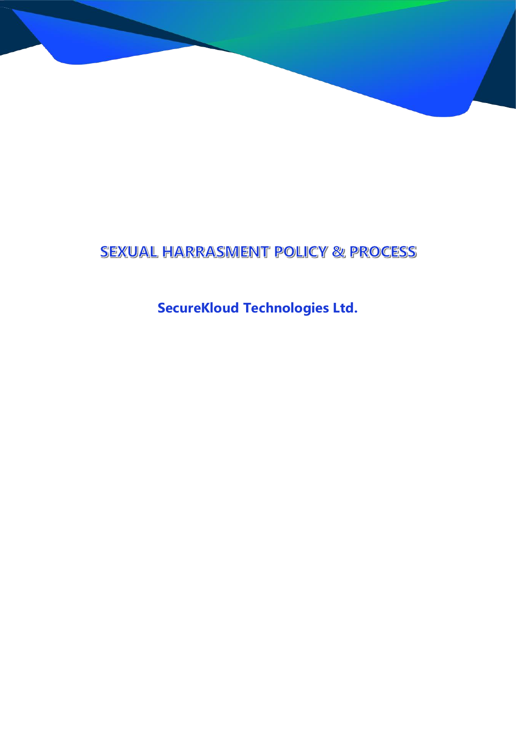

# **SEXUAL HARRASMENT POLICY & PROCESS**

**SecureKloud Technologies Ltd.**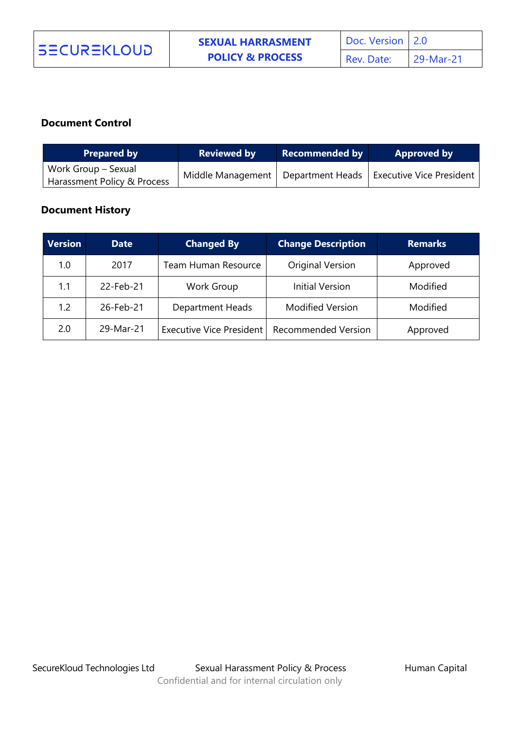| <b>SECUREKLOUD</b> | <b>SEXUAL HARRASMENT</b>    | Doc. Version 2.0 |                  |
|--------------------|-----------------------------|------------------|------------------|
|                    | <b>POLICY &amp; PROCESS</b> | Rev. Date:       | $\mid$ 29-Mar-21 |

## **Document Control**

| <b>Prepared by</b>          | <b>Reviewed by</b> | Recommended by   | <b>Approved by</b>       |
|-----------------------------|--------------------|------------------|--------------------------|
| Work Group – Sexual         | Middle Management  | Department Heads | Executive Vice President |
| Harassment Policy & Process |                    |                  |                          |

## **Document History**

| <b>Version</b> | <b>Date</b> | <b>Changed By</b>               | <b>Change Description</b>  | <b>Remarks</b> |
|----------------|-------------|---------------------------------|----------------------------|----------------|
| 1.0            | 2017        | <b>Team Human Resource</b>      | Original Version           | Approved       |
| 1.1            | 22-Feb-21   | Work Group                      | <b>Initial Version</b>     | Modified       |
| 1.2            | 26-Feb-21   | <b>Department Heads</b>         | <b>Modified Version</b>    | Modified       |
| 2.0            | 29-Mar-21   | <b>Executive Vice President</b> | <b>Recommended Version</b> | Approved       |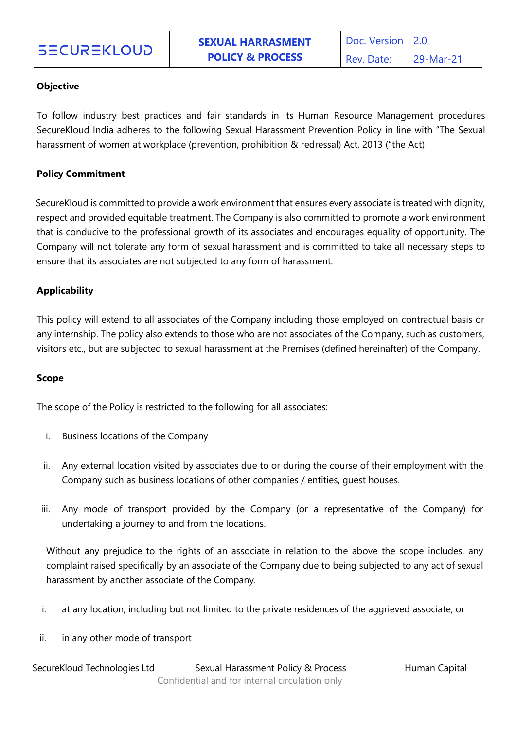## **Objective**

To follow industry best practices and fair standards in its Human Resource Management procedures SecureKloud India adheres to the following Sexual Harassment Prevention Policy in line with "The Sexual harassment of women at workplace (prevention, prohibition & redressal) Act, 2013 ("the Act)

## **Policy Commitment**

 SecureKloud is committed to provide a work environment that ensures every associate is treated with dignity, respect and provided equitable treatment. The Company is also committed to promote a work environment that is conducive to the professional growth of its associates and encourages equality of opportunity. The Company will not tolerate any form of sexual harassment and is committed to take all necessary steps to ensure that its associates are not subjected to any form of harassment.

## **Applicability**

This policy will extend to all associates of the Company including those employed on contractual basis or any internship. The policy also extends to those who are not associates of the Company, such as customers, visitors etc., but are subjected to sexual harassment at the Premises (defined hereinafter) of the Company.

## **Scope**

The scope of the Policy is restricted to the following for all associates:

- i. Business locations of the Company
- ii. Any external location visited by associates due to or during the course of their employment with the Company such as business locations of other companies / entities, guest houses.
- iii. Any mode of transport provided by the Company (or a representative of the Company) for undertaking a journey to and from the locations.

Without any prejudice to the rights of an associate in relation to the above the scope includes, any complaint raised specifically by an associate of the Company due to being subjected to any act of sexual harassment by another associate of the Company.

- i. at any location, including but not limited to the private residences of the aggrieved associate; or
- ii. in any other mode of transport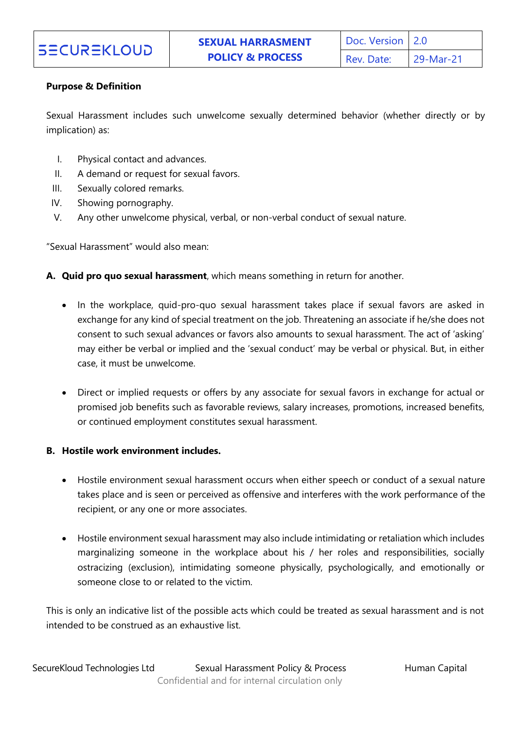#### **Purpose & Definition**

Sexual Harassment includes such unwelcome sexually determined behavior (whether directly or by implication) as:

- I. Physical contact and advances.
- II. A demand or request for sexual favors.
- III. Sexually colored remarks.
- IV. Showing pornography.
- V. Any other unwelcome physical, verbal, or non-verbal conduct of sexual nature.

"Sexual Harassment" would also mean:

- **A. Quid pro quo sexual harassment**, which means something in return for another.
	- In the workplace, quid-pro-quo sexual harassment takes place if sexual favors are asked in exchange for any kind of special treatment on the job. Threatening an associate if he/she does not consent to such sexual advances or favors also amounts to sexual harassment. The act of 'asking' may either be verbal or implied and the 'sexual conduct' may be verbal or physical. But, in either case, it must be unwelcome.
	- Direct or implied requests or offers by any associate for sexual favors in exchange for actual or promised job benefits such as favorable reviews, salary increases, promotions, increased benefits, or continued employment constitutes sexual harassment.

## **B. Hostile work environment includes.**

- Hostile environment sexual harassment occurs when either speech or conduct of a sexual nature takes place and is seen or perceived as offensive and interferes with the work performance of the recipient, or any one or more associates.
- Hostile environment sexual harassment may also include intimidating or retaliation which includes marginalizing someone in the workplace about his / her roles and responsibilities, socially ostracizing (exclusion), intimidating someone physically, psychologically, and emotionally or someone close to or related to the victim.

This is only an indicative list of the possible acts which could be treated as sexual harassment and is not intended to be construed as an exhaustive list.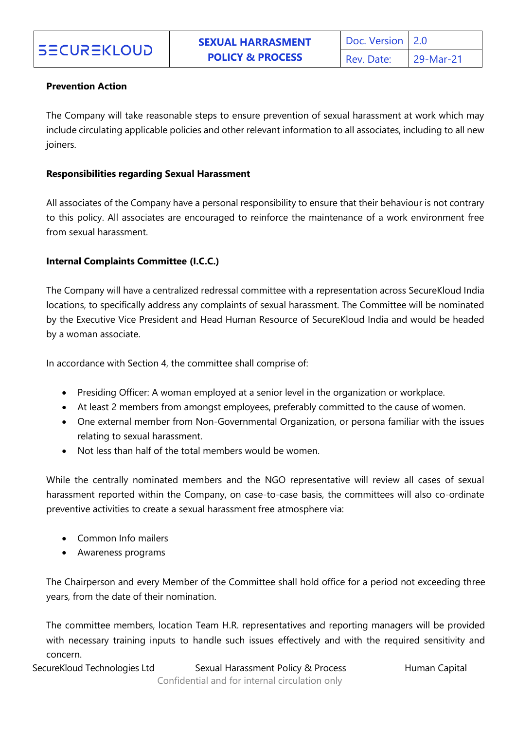## **Prevention Action**

The Company will take reasonable steps to ensure prevention of sexual harassment at work which may include circulating applicable policies and other relevant information to all associates, including to all new joiners.

## **Responsibilities regarding Sexual Harassment**

All associates of the Company have a personal responsibility to ensure that their behaviour is not contrary to this policy. All associates are encouraged to reinforce the maintenance of a work environment free from sexual harassment.

## **Internal Complaints Committee (I.C.C.)**

The Company will have a centralized redressal committee with a representation across SecureKloud India locations, to specifically address any complaints of sexual harassment. The Committee will be nominated by the Executive Vice President and Head Human Resource of SecureKloud India and would be headed by a woman associate.

In accordance with Section 4, the committee shall comprise of:

- Presiding Officer: A woman employed at a senior level in the organization or workplace.
- At least 2 members from amongst employees, preferably committed to the cause of women.
- One external member from Non-Governmental Organization, or persona familiar with the issues relating to sexual harassment.
- Not less than half of the total members would be women.

While the centrally nominated members and the NGO representative will review all cases of sexual harassment reported within the Company, on case-to-case basis, the committees will also co-ordinate preventive activities to create a sexual harassment free atmosphere via:

- Common Info mailers
- Awareness programs

The Chairperson and every Member of the Committee shall hold office for a period not exceeding three years, from the date of their nomination.

The committee members, location Team H.R. representatives and reporting managers will be provided with necessary training inputs to handle such issues effectively and with the required sensitivity and concern.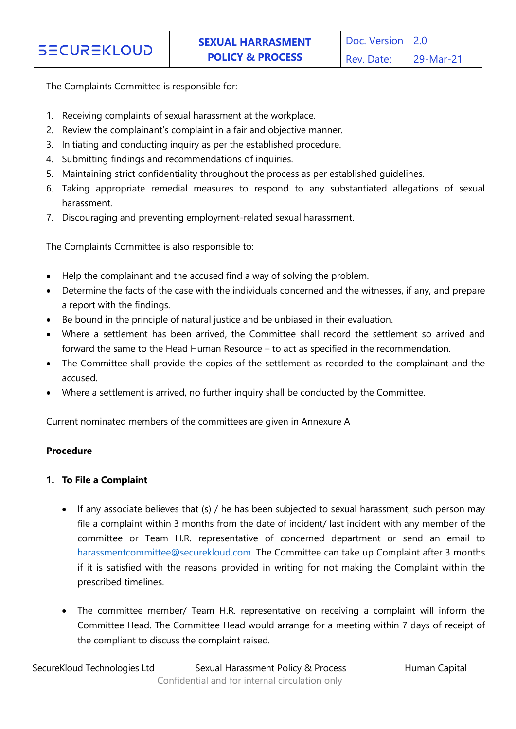| <b>SECUREKLOUD</b> | <b>SEXUAL HARRASMENT</b>    | Doc. Version 2.0 |              |  |
|--------------------|-----------------------------|------------------|--------------|--|
|                    | <b>POLICY &amp; PROCESS</b> | Rev. Date:       | $-29-Mar-21$ |  |

The Complaints Committee is responsible for:

- 1. Receiving complaints of sexual harassment at the workplace.
- 2. Review the complainant's complaint in a fair and objective manner.
- 3. Initiating and conducting inquiry as per the established procedure.
- 4. Submitting findings and recommendations of inquiries.
- 5. Maintaining strict confidentiality throughout the process as per established guidelines.
- 6. Taking appropriate remedial measures to respond to any substantiated allegations of sexual harassment.
- 7. Discouraging and preventing employment-related sexual harassment.

The Complaints Committee is also responsible to:

- Help the complainant and the accused find a way of solving the problem.
- Determine the facts of the case with the individuals concerned and the witnesses, if any, and prepare a report with the findings.
- Be bound in the principle of natural justice and be unbiased in their evaluation.
- Where a settlement has been arrived, the Committee shall record the settlement so arrived and forward the same to the Head Human Resource – to act as specified in the recommendation.
- The Committee shall provide the copies of the settlement as recorded to the complainant and the accused.
- Where a settlement is arrived, no further inquiry shall be conducted by the Committee.

Current nominated members of the committees are given in Annexure A

#### **Procedure**

#### **1. To File a Complaint**

- If any associate believes that (s) / he has been subjected to sexual harassment, such person may file a complaint within 3 months from the date of incident/ last incident with any member of the committee or Team H.R. representative of concerned department or send an email to [harassmentcommittee@securekloud.com.](mailto:harassmentcommittee@securekloud.com) The Committee can take up Complaint after 3 months if it is satisfied with the reasons provided in writing for not making the Complaint within the prescribed timelines.
- The committee member/ Team H.R. representative on receiving a complaint will inform the Committee Head. The Committee Head would arrange for a meeting within 7 days of receipt of the compliant to discuss the complaint raised.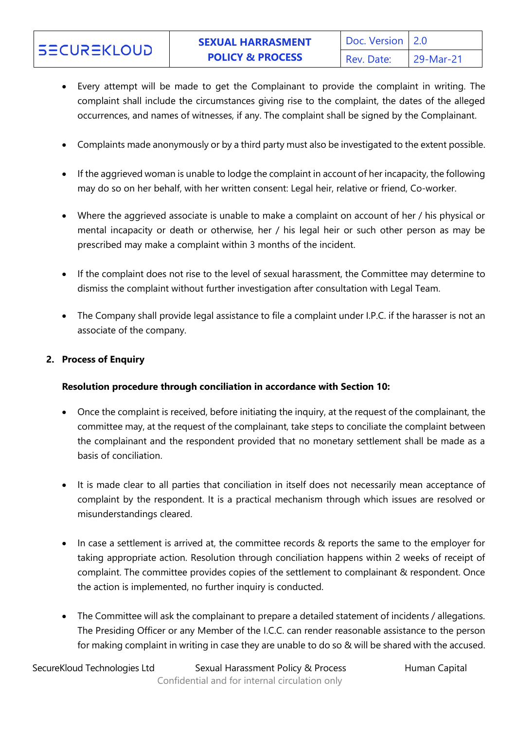- Every attempt will be made to get the Complainant to provide the complaint in writing. The complaint shall include the circumstances giving rise to the complaint, the dates of the alleged occurrences, and names of witnesses, if any. The complaint shall be signed by the Complainant.
- Complaints made anonymously or by a third party must also be investigated to the extent possible.
- If the aggrieved woman is unable to lodge the complaint in account of her incapacity, the following may do so on her behalf, with her written consent: Legal heir, relative or friend, Co-worker.
- Where the aggrieved associate is unable to make a complaint on account of her / his physical or mental incapacity or death or otherwise, her / his legal heir or such other person as may be prescribed may make a complaint within 3 months of the incident.
- If the complaint does not rise to the level of sexual harassment, the Committee may determine to dismiss the complaint without further investigation after consultation with Legal Team.
- The Company shall provide legal assistance to file a complaint under I.P.C. if the harasser is not an associate of the company.

#### **2. Process of Enquiry**

## **Resolution procedure through conciliation in accordance with Section 10:**

- Once the complaint is received, before initiating the inquiry, at the request of the complainant, the committee may, at the request of the complainant, take steps to conciliate the complaint between the complainant and the respondent provided that no monetary settlement shall be made as a basis of conciliation.
- It is made clear to all parties that conciliation in itself does not necessarily mean acceptance of complaint by the respondent. It is a practical mechanism through which issues are resolved or misunderstandings cleared.
- In case a settlement is arrived at, the committee records & reports the same to the employer for taking appropriate action. Resolution through conciliation happens within 2 weeks of receipt of complaint. The committee provides copies of the settlement to complainant & respondent. Once the action is implemented, no further inquiry is conducted.
- The Committee will ask the complainant to prepare a detailed statement of incidents / allegations. The Presiding Officer or any Member of the I.C.C. can render reasonable assistance to the person for making complaint in writing in case they are unable to do so & will be shared with the accused.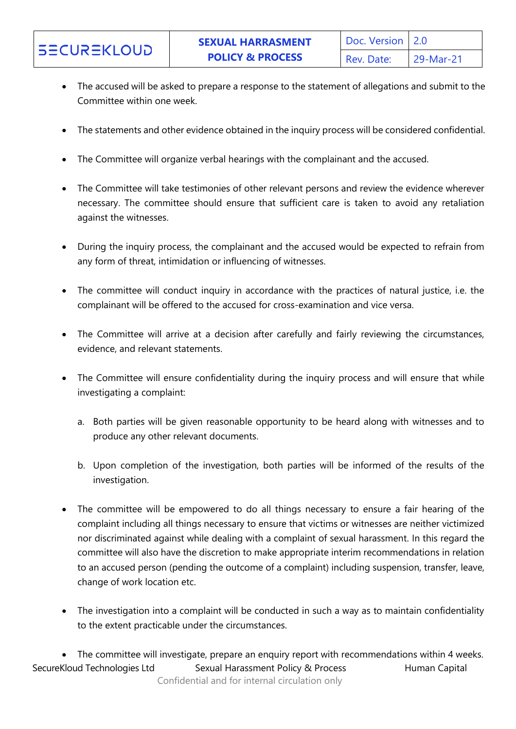|  |  | <b>SECUREKLOUD</b> |  |  |  |
|--|--|--------------------|--|--|--|
|  |  |                    |  |  |  |

- The accused will be asked to prepare a response to the statement of allegations and submit to the Committee within one week.
- The statements and other evidence obtained in the inquiry process will be considered confidential.
- The Committee will organize verbal hearings with the complainant and the accused.
- The Committee will take testimonies of other relevant persons and review the evidence wherever necessary. The committee should ensure that sufficient care is taken to avoid any retaliation against the witnesses.
- During the inquiry process, the complainant and the accused would be expected to refrain from any form of threat, intimidation or influencing of witnesses.
- The committee will conduct inquiry in accordance with the practices of natural justice, i.e. the complainant will be offered to the accused for cross-examination and vice versa.
- The Committee will arrive at a decision after carefully and fairly reviewing the circumstances, evidence, and relevant statements.
- The Committee will ensure confidentiality during the inquiry process and will ensure that while investigating a complaint:
	- a. Both parties will be given reasonable opportunity to be heard along with witnesses and to produce any other relevant documents.
	- b. Upon completion of the investigation, both parties will be informed of the results of the investigation.
- The committee will be empowered to do all things necessary to ensure a fair hearing of the complaint including all things necessary to ensure that victims or witnesses are neither victimized nor discriminated against while dealing with a complaint of sexual harassment. In this regard the committee will also have the discretion to make appropriate interim recommendations in relation to an accused person (pending the outcome of a complaint) including suspension, transfer, leave, change of work location etc.
- The investigation into a complaint will be conducted in such a way as to maintain confidentiality to the extent practicable under the circumstances.

SecureKloud Technologies Ltd Sexual Harassment Policy & Process Human Capital Confidential and for internal circulation only • The committee will investigate, prepare an enquiry report with recommendations within 4 weeks.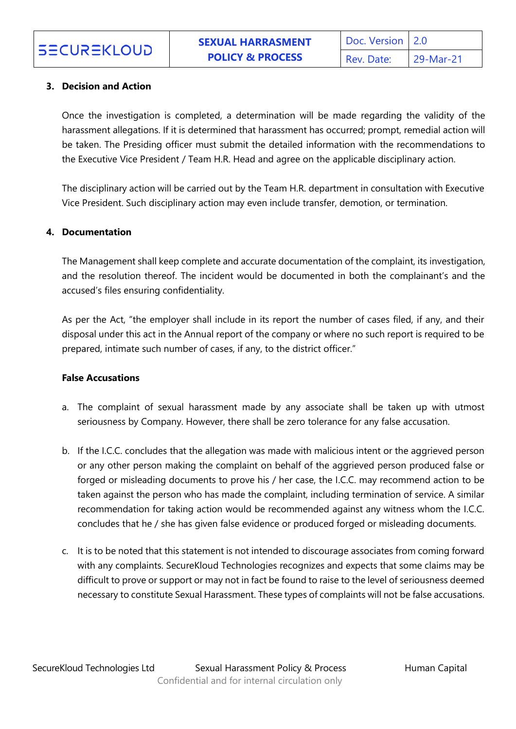#### **3. Decision and Action**

Once the investigation is completed, a determination will be made regarding the validity of the harassment allegations. If it is determined that harassment has occurred; prompt, remedial action will be taken. The Presiding officer must submit the detailed information with the recommendations to the Executive Vice President / Team H.R. Head and agree on the applicable disciplinary action.

The disciplinary action will be carried out by the Team H.R. department in consultation with Executive Vice President. Such disciplinary action may even include transfer, demotion, or termination.

#### **4. Documentation**

The Management shall keep complete and accurate documentation of the complaint, its investigation, and the resolution thereof. The incident would be documented in both the complainant's and the accused's files ensuring confidentiality.

As per the Act, "the employer shall include in its report the number of cases filed, if any, and their disposal under this act in the Annual report of the company or where no such report is required to be prepared, intimate such number of cases, if any, to the district officer."

#### **False Accusations**

- a. The complaint of sexual harassment made by any associate shall be taken up with utmost seriousness by Company. However, there shall be zero tolerance for any false accusation.
- b. If the I.C.C. concludes that the allegation was made with malicious intent or the aggrieved person or any other person making the complaint on behalf of the aggrieved person produced false or forged or misleading documents to prove his / her case, the I.C.C. may recommend action to be taken against the person who has made the complaint, including termination of service. A similar recommendation for taking action would be recommended against any witness whom the I.C.C. concludes that he / she has given false evidence or produced forged or misleading documents.
- c. It is to be noted that this statement is not intended to discourage associates from coming forward with any complaints. SecureKloud Technologies recognizes and expects that some claims may be difficult to prove or support or may not in fact be found to raise to the level of seriousness deemed necessary to constitute Sexual Harassment. These types of complaints will not be false accusations.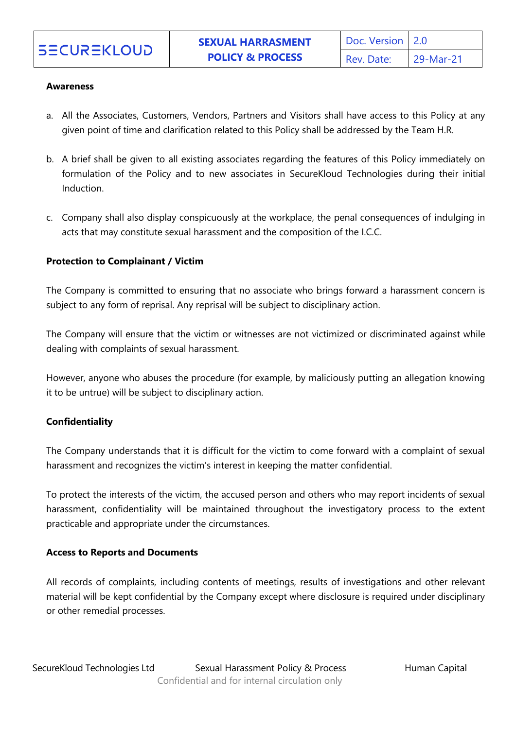#### **Awareness**

- a. All the Associates, Customers, Vendors, Partners and Visitors shall have access to this Policy at any given point of time and clarification related to this Policy shall be addressed by the Team H.R.
- b. A brief shall be given to all existing associates regarding the features of this Policy immediately on formulation of the Policy and to new associates in SecureKloud Technologies during their initial Induction.
- c. Company shall also display conspicuously at the workplace, the penal consequences of indulging in acts that may constitute sexual harassment and the composition of the I.C.C.

#### **Protection to Complainant / Victim**

The Company is committed to ensuring that no associate who brings forward a harassment concern is subject to any form of reprisal. Any reprisal will be subject to disciplinary action.

The Company will ensure that the victim or witnesses are not victimized or discriminated against while dealing with complaints of sexual harassment.

However, anyone who abuses the procedure (for example, by maliciously putting an allegation knowing it to be untrue) will be subject to disciplinary action.

## **Confidentiality**

The Company understands that it is difficult for the victim to come forward with a complaint of sexual harassment and recognizes the victim's interest in keeping the matter confidential.

To protect the interests of the victim, the accused person and others who may report incidents of sexual harassment, confidentiality will be maintained throughout the investigatory process to the extent practicable and appropriate under the circumstances.

#### **Access to Reports and Documents**

All records of complaints, including contents of meetings, results of investigations and other relevant material will be kept confidential by the Company except where disclosure is required under disciplinary or other remedial processes.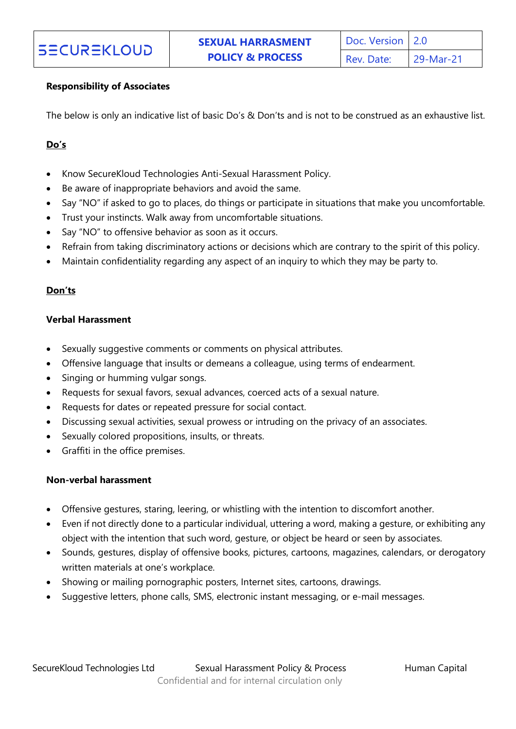## **Responsibility of Associates**

The below is only an indicative list of basic Do's & Don'ts and is not to be construed as an exhaustive list.

## **Do's**

- Know SecureKloud Technologies Anti-Sexual Harassment Policy.
- Be aware of inappropriate behaviors and avoid the same.
- Say "NO" if asked to go to places, do things or participate in situations that make you uncomfortable.
- Trust your instincts. Walk away from uncomfortable situations.
- Say "NO" to offensive behavior as soon as it occurs.
- Refrain from taking discriminatory actions or decisions which are contrary to the spirit of this policy.
- Maintain confidentiality regarding any aspect of an inquiry to which they may be party to.

## **Don'ts**

## **Verbal Harassment**

- Sexually suggestive comments or comments on physical attributes.
- Offensive language that insults or demeans a colleague, using terms of endearment.
- Singing or humming vulgar songs.
- Requests for sexual favors, sexual advances, coerced acts of a sexual nature.
- Requests for dates or repeated pressure for social contact.
- Discussing sexual activities, sexual prowess or intruding on the privacy of an associates.
- Sexually colored propositions, insults, or threats.
- Graffiti in the office premises.

## **Non-verbal harassment**

- Offensive gestures, staring, leering, or whistling with the intention to discomfort another.
- Even if not directly done to a particular individual, uttering a word, making a gesture, or exhibiting any object with the intention that such word, gesture, or object be heard or seen by associates.
- Sounds, gestures, display of offensive books, pictures, cartoons, magazines, calendars, or derogatory written materials at one's workplace.
- Showing or mailing pornographic posters, Internet sites, cartoons, drawings.
- Suggestive letters, phone calls, SMS, electronic instant messaging, or e-mail messages.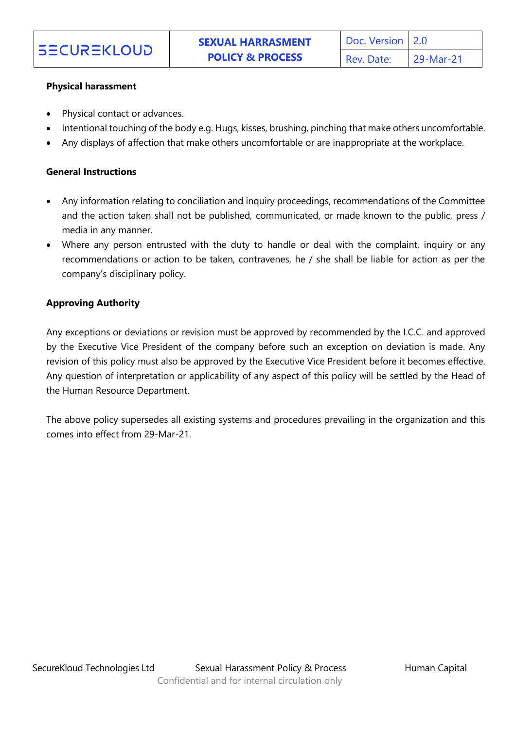#### **Physical harassment**

- Physical contact or advances.
- Intentional touching of the body e.g. Hugs, kisses, brushing, pinching that make others uncomfortable.
- Any displays of affection that make others uncomfortable or are inappropriate at the workplace.

## **General Instructions**

- Any information relating to conciliation and inquiry proceedings, recommendations of the Committee and the action taken shall not be published, communicated, or made known to the public, press / media in any manner.
- Where any person entrusted with the duty to handle or deal with the complaint, inquiry or any recommendations or action to be taken, contravenes, he / she shall be liable for action as per the company's disciplinary policy.

## **Approving Authority**

Any exceptions or deviations or revision must be approved by recommended by the I.C.C. and approved by the Executive Vice President of the company before such an exception on deviation is made. Any revision of this policy must also be approved by the Executive Vice President before it becomes effective. Any question of interpretation or applicability of any aspect of this policy will be settled by the Head of the Human Resource Department.

The above policy supersedes all existing systems and procedures prevailing in the organization and this comes into effect from 29-Mar-21.